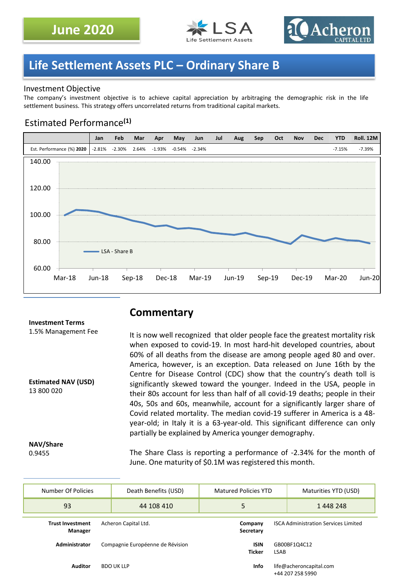



## **Life Settlement Assets PLC – Ordinary Share B**

### Investment Objective

The company's investment objective is to achieve capital appreciation by arbitraging the demographic risk in the life settlement business. This strategy offers uncorrelated returns from traditional capital markets.

### Estimated Performance**(1)**



## **Commentary**

It is now well recognized that older people face the greatest mortality risk when exposed to covid-19. In most hard-hit developed countries, about 60% of all deaths from the disease are among people aged 80 and over. America, however, is an exception. Data released on June 16th by the Centre for Disease Control (CDC) show that the country's death toll is significantly skewed toward the younger. Indeed in the USA, people in their 80s account for less than half of all covid-19 deaths; people in their 40s, 50s and 60s, meanwhile, account for a significantly larger share of Covid related mortality. The median covid-19 sufferer in America is a 48 year-old; in Italy it is a 63-year-old. This significant difference can only partially be explained by America younger demography.

**NAV/Share** 0.9455

13 800 020

**Investment Terms** 1.5% Management Fee

**Estimated NAV (USD)**

The Share Class is reporting a performance of -2.34% for the month of June. One maturity of \$0.1M was registered this month.

| Number Of Policies                 | Death Benefits (USD)             |                   | Matured Policies YTD |                              |                                             | Maturities YTD (USD)                        |
|------------------------------------|----------------------------------|-------------------|----------------------|------------------------------|---------------------------------------------|---------------------------------------------|
| 93                                 |                                  | 44 108 410        | 5                    |                              |                                             | 1448248                                     |
| <b>Trust Investment</b><br>Manager | Acheron Capital Ltd.             |                   |                      | Company<br>Secretary         | <b>ISCA Administration Services Limited</b> |                                             |
| Administrator                      | Compagnie Européenne de Révision |                   |                      | <b>ISIN</b><br><b>Ticker</b> | GB00BF1Q4C12<br>LSAB                        |                                             |
| <b>Auditor</b>                     |                                  | <b>BDO UK LLP</b> |                      | Info                         |                                             | life@acheroncapital.com<br>+44 207 258 5990 |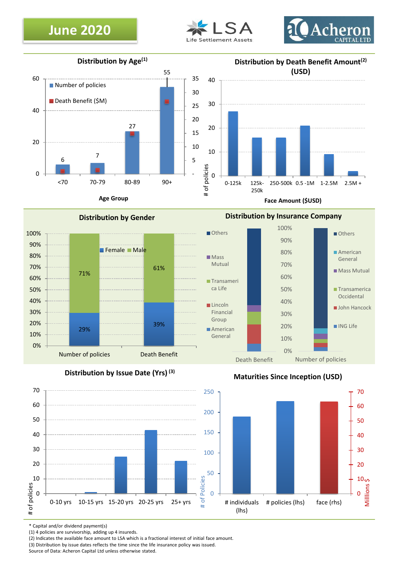## **June 2020**





**Distribution by Age(1)**



**Face Amount (\$USD)**













\* Capital and/or dividend payment(s)

(1) 4 policies are survivorship, adding up 4 insureds.

(2) Indicates the available face amount to LSA which is a fractional interest of initial face amount.

(3) Distribution by issue dates reflects the time since the life insurance policy was issued.

Source of Data: Acheron Capital Ltd unless otherwise stated.